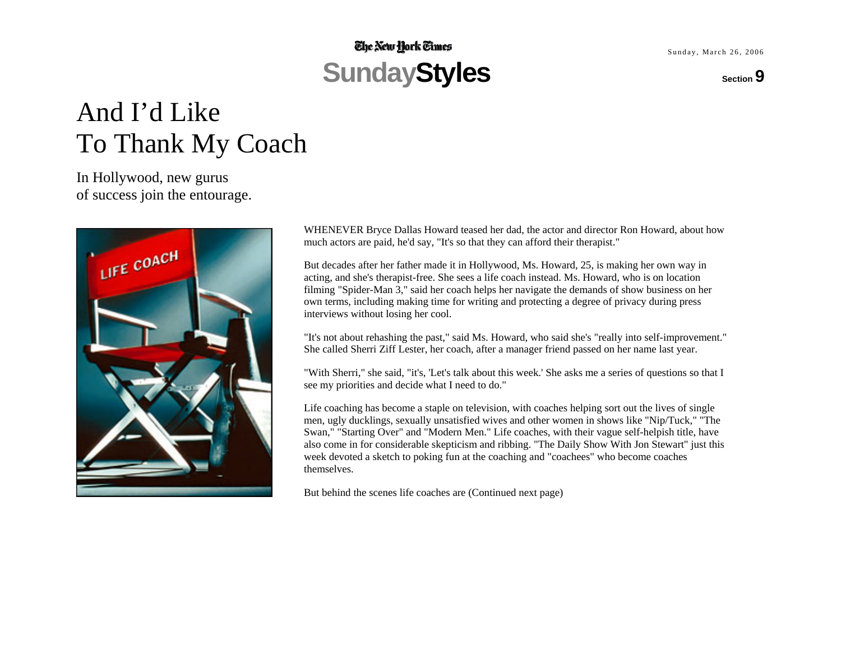## **The New Hork Times** SundayStyles section 9

Sunday, March 26, 2006

# And I'd Like To Thank My Coach

In Hollywood, new gurus of success join the entourage.



WHENEVER Bryce Dallas Howard teased her dad, the actor and director Ron Howard, about how much actors are paid, he'd say, "It's so that they can afford their therapist."

But decades after her father made it in Hollywood, Ms. Howard, 25, is making her own way in acting, and she's therapist-free. She sees a life coach instead. Ms. Howard, who is on location filming "Spider-Man 3," said her coach helps her navigate the demands of show business on her own terms, including making time for writing and protecting a degree of privacy during press interviews without losing her cool.

"It's not about rehashing the past," said Ms. Howard, who said she's "really into self-improvement." She called Sherri Ziff Lester, her coach, after a manager friend passed on her name last year.

"With Sherri," she said, "it's, 'Let's talk about this week.' She asks me a series of questions so that I see my priorities and decide what I need to do."

Life coaching has become a staple on television, with coaches helping sort out the lives of single men, ugly ducklings, sexually unsatisfied wives and other women in shows like "Nip/Tuck," "The Swan," "Starting Over" and "Modern Men." Life coaches, with their vague self-helpish title, have also come in for considerable skepticism and ribbing. "The Daily Show With Jon Stewart" just this week devoted a sketch to poking fun at the coaching and "coachees" who become coaches themselves.

But behind the scenes life coaches are (Continued next page)